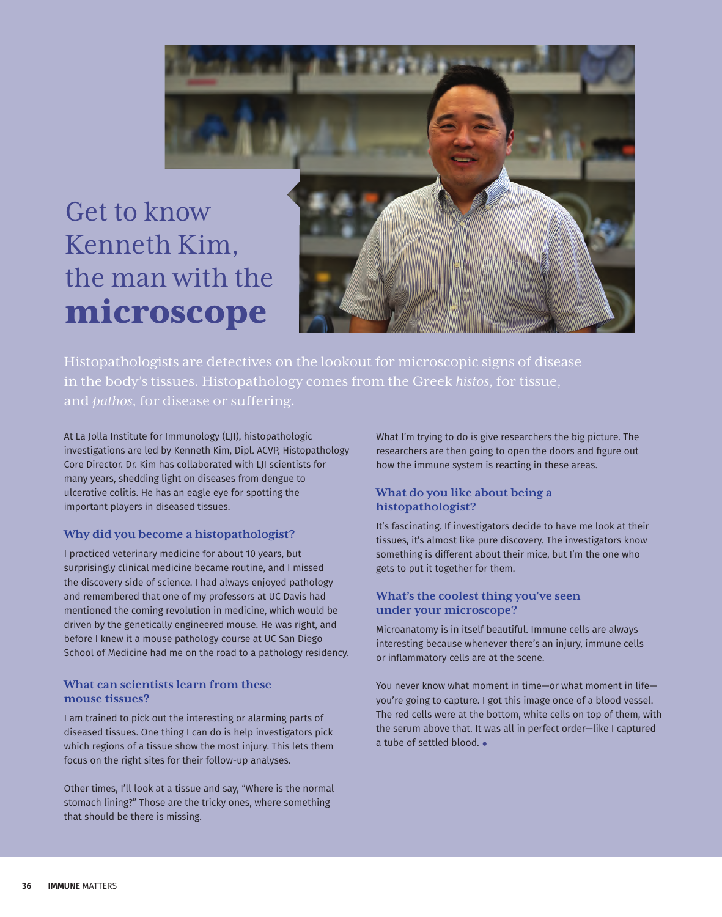

Histopathologists are detectives on the lookout for microscopic signs of disease in the body's tissues. Histopathology comes from the Greek *histos*, for tissue, and *pathos*, for disease or suffering.

At La Jolla Institute for Immunology (LJI), histopathologic investigations are led by Kenneth Kim, Dipl. ACVP, Histopathology Core Director. Dr. Kim has collaborated with LJI scientists for many years, shedding light on diseases from dengue to ulcerative colitis. He has an eagle eye for spotting the important players in diseased tissues.

## **Why did you become a histopathologist?**

I practiced veterinary medicine for about 10 years, but surprisingly clinical medicine became routine, and I missed the discovery side of science. I had always enjoyed pathology and remembered that one of my professors at UC Davis had mentioned the coming revolution in medicine, which would be driven by the genetically engineered mouse. He was right, and before I knew it a mouse pathology course at UC San Diego School of Medicine had me on the road to a pathology residency.

## **What can scientists learn from these mouse tissues?**

I am trained to pick out the interesting or alarming parts of diseased tissues. One thing I can do is help investigators pick which regions of a tissue show the most injury. This lets them focus on the right sites for their follow-up analyses.

Other times, I'll look at a tissue and say, "Where is the normal stomach lining?" Those are the tricky ones, where something that should be there is missing.

What I'm trying to do is give researchers the big picture. The researchers are then going to open the doors and figure out how the immune system is reacting in these areas.

## **What do you like about being a histopathologist?**

It's fascinating. If investigators decide to have me look at their tissues, it's almost like pure discovery. The investigators know something is different about their mice, but I'm the one who gets to put it together for them.

## **What's the coolest thing you've seen under your microscope?**

Microanatomy is in itself beautiful. Immune cells are always interesting because whenever there's an injury, immune cells or inflammatory cells are at the scene.

You never know what moment in time—or what moment in life you're going to capture. I got this image once of a blood vessel. The red cells were at the bottom, white cells on top of them, with the serum above that. It was all in perfect order—like I captured a tube of settled blood. •